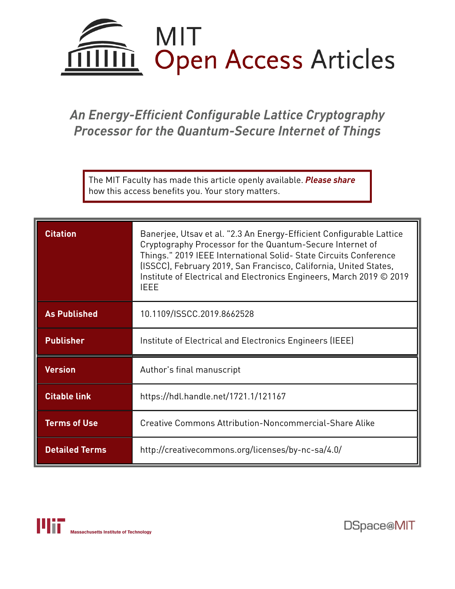

## *An Energy-Efficient Configurable Lattice Cryptography Processor for the Quantum-Secure Internet of Things*

The MIT Faculty has made this article openly available. *[Please](https://libraries.mit.edu/forms/dspace-oa-articles.html) share* how this access benefits you. Your story matters.

| <b>Citation</b>       | Banerjee, Utsav et al. "2.3 An Energy-Efficient Configurable Lattice<br>Cryptography Processor for the Quantum-Secure Internet of<br>Things." 2019 IEEE International Solid- State Circuits Conference<br>(ISSCC), February 2019, San Francisco, California, United States,<br>Institute of Electrical and Electronics Engineers, March 2019 © 2019<br><b>IEEE</b> |  |  |  |
|-----------------------|--------------------------------------------------------------------------------------------------------------------------------------------------------------------------------------------------------------------------------------------------------------------------------------------------------------------------------------------------------------------|--|--|--|
| <b>As Published</b>   | 10.1109/ISSCC.2019.8662528                                                                                                                                                                                                                                                                                                                                         |  |  |  |
| <b>Publisher</b>      | Institute of Electrical and Electronics Engineers (IEEE)                                                                                                                                                                                                                                                                                                           |  |  |  |
| <b>Version</b>        | Author's final manuscript                                                                                                                                                                                                                                                                                                                                          |  |  |  |
| <b>Citable link</b>   | https://hdl.handle.net/1721.1/121167                                                                                                                                                                                                                                                                                                                               |  |  |  |
| <b>Terms of Use</b>   | Creative Commons Attribution-Noncommercial-Share Alike                                                                                                                                                                                                                                                                                                             |  |  |  |
| <b>Detailed Terms</b> | http://creativecommons.org/licenses/by-nc-sa/4.0/                                                                                                                                                                                                                                                                                                                  |  |  |  |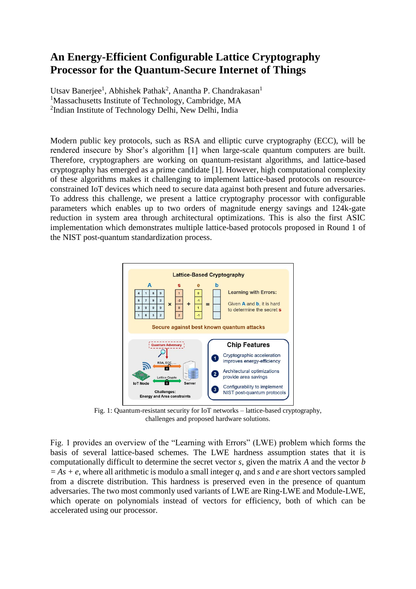## **An Energy-Efficient Configurable Lattice Cryptography Processor for the Quantum-Secure Internet of Things**

Utsav Banerjee<sup>1</sup>, Abhishek Pathak<sup>2</sup>, Anantha P. Chandrakasan<sup>1</sup> <sup>1</sup>Massachusetts Institute of Technology, Cambridge, MA <sup>2</sup>Indian Institute of Technology Delhi, New Delhi, India

Modern public key protocols, such as RSA and elliptic curve cryptography (ECC), will be rendered insecure by Shor's algorithm [1] when large-scale quantum computers are built. Therefore, cryptographers are working on quantum-resistant algorithms, and lattice-based cryptography has emerged as a prime candidate [1]. However, high computational complexity of these algorithms makes it challenging to implement lattice-based protocols on resourceconstrained IoT devices which need to secure data against both present and future adversaries. To address this challenge, we present a lattice cryptography processor with configurable parameters which enables up to two orders of magnitude energy savings and 124k-gate reduction in system area through architectural optimizations. This is also the first ASIC implementation which demonstrates multiple lattice-based protocols proposed in Round 1 of the NIST post-quantum standardization process.



Fig. 1: Quantum-resistant security for IoT networks – lattice-based cryptography, challenges and proposed hardware solutions.

Fig. 1 provides an overview of the "Learning with Errors" (LWE) problem which forms the basis of several lattice-based schemes. The LWE hardness assumption states that it is computationally difficult to determine the secret vector *s*, given the matrix *A* and the vector *b = As + e*, where all arithmetic is modulo a small integer *q*, and *s* and *e* are short vectors sampled from a discrete distribution. This hardness is preserved even in the presence of quantum adversaries. The two most commonly used variants of LWE are Ring-LWE and Module-LWE, which operate on polynomials instead of vectors for efficiency, both of which can be accelerated using our processor.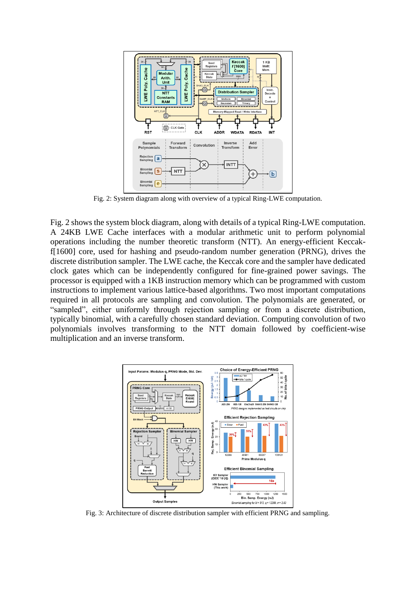

Fig. 2: System diagram along with overview of a typical Ring-LWE computation.

Fig. 2 shows the system block diagram, along with details of a typical Ring-LWE computation. A 24KB LWE Cache interfaces with a modular arithmetic unit to perform polynomial operations including the number theoretic transform (NTT). An energy-efficient Keccakf[1600] core, used for hashing and pseudo-random number generation (PRNG), drives the discrete distribution sampler. The LWE cache, the Keccak core and the sampler have dedicated clock gates which can be independently configured for fine-grained power savings. The processor is equipped with a 1KB instruction memory which can be programmed with custom instructions to implement various lattice-based algorithms. Two most important computations required in all protocols are sampling and convolution. The polynomials are generated, or "sampled", either uniformly through rejection sampling or from a discrete distribution, typically binomial, with a carefully chosen standard deviation. Computing convolution of two polynomials involves transforming to the NTT domain followed by coefficient-wise multiplication and an inverse transform.



Fig. 3: Architecture of discrete distribution sampler with efficient PRNG and sampling.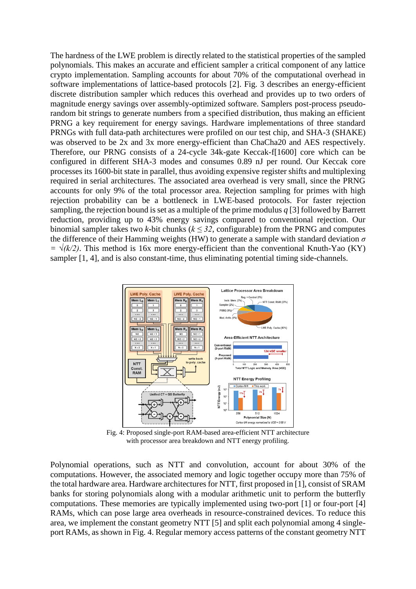The hardness of the LWE problem is directly related to the statistical properties of the sampled polynomials. This makes an accurate and efficient sampler a critical component of any lattice crypto implementation. Sampling accounts for about 70% of the computational overhead in software implementations of lattice-based protocols [2]. Fig. 3 describes an energy-efficient discrete distribution sampler which reduces this overhead and provides up to two orders of magnitude energy savings over assembly-optimized software. Samplers post-process pseudorandom bit strings to generate numbers from a specified distribution, thus making an efficient PRNG a key requirement for energy savings. Hardware implementations of three standard PRNGs with full data-path architectures were profiled on our test chip, and SHA-3 (SHAKE) was observed to be 2x and 3x more energy-efficient than ChaCha20 and AES respectively. Therefore, our PRNG consists of a 24-cycle 34k-gate Keccak-f[1600] core which can be configured in different SHA-3 modes and consumes 0.89 nJ per round. Our Keccak core processes its 1600-bit state in parallel, thus avoiding expensive register shifts and multiplexing required in serial architectures. The associated area overhead is very small, since the PRNG accounts for only 9% of the total processor area. Rejection sampling for primes with high rejection probability can be a bottleneck in LWE-based protocols. For faster rejection sampling, the rejection bound is set as a multiple of the prime modulus *q* [3] followed by Barrett reduction, providing up to 43% energy savings compared to conventional rejection. Our binomial sampler takes two *k*-bit chunks ( $k \leq 32$ , configurable) from the PRNG and computes the difference of their Hamming weights (HW) to generate a sample with standard deviation *σ*   $=\sqrt{k/2}$ . This method is 16x more energy-efficient than the conventional Knuth-Yao (KY) sampler [1, 4], and is also constant-time, thus eliminating potential timing side-channels.



Fig. 4: Proposed single-port RAM-based area-efficient NTT architecture with processor area breakdown and NTT energy profiling.

Polynomial operations, such as NTT and convolution, account for about 30% of the computations. However, the associated memory and logic together occupy more than 75% of the total hardware area. Hardware architectures for NTT, first proposed in [1], consist of SRAM banks for storing polynomials along with a modular arithmetic unit to perform the butterfly computations. These memories are typically implemented using two-port [1] or four-port [4] RAMs, which can pose large area overheads in resource-constrained devices. To reduce this area, we implement the constant geometry NTT [5] and split each polynomial among 4 singleport RAMs, as shown in Fig. 4. Regular memory access patterns of the constant geometry NTT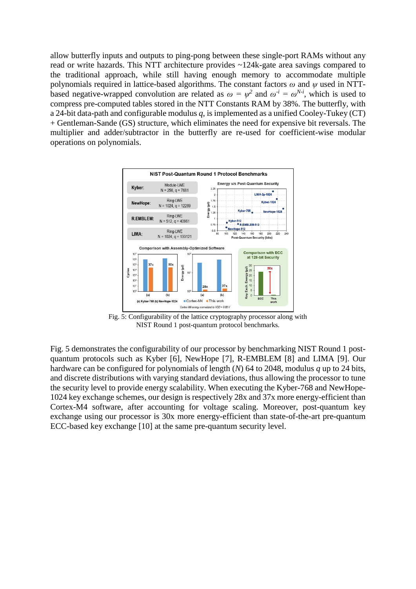allow butterfly inputs and outputs to ping-pong between these single-port RAMs without any read or write hazards. This NTT architecture provides ~124k-gate area savings compared to the traditional approach, while still having enough memory to accommodate multiple polynomials required in lattice-based algorithms. The constant factors *ω* and *ψ* used in NTTbased negative-wrapped convolution are related as  $\omega = \psi^2$  and  $\omega^{i} = \omega^{N-i}$ , which is used to compress pre-computed tables stored in the NTT Constants RAM by 38%. The butterfly, with a 24-bit data-path and configurable modulus *q*, is implemented as a unified Cooley-Tukey (CT) + Gentleman-Sande (GS) structure, which eliminates the need for expensive bit reversals. The multiplier and adder/subtractor in the butterfly are re-used for coefficient-wise modular operations on polynomials.



Fig. 5: Configurability of the lattice cryptography processor along with NIST Round 1 post-quantum protocol benchmarks.

Fig. 5 demonstrates the configurability of our processor by benchmarking NIST Round 1 postquantum protocols such as Kyber [6], NewHope [7], R-EMBLEM [8] and LIMA [9]. Our hardware can be configured for polynomials of length (*N*) 64 to 2048, modulus *q* up to 24 bits, and discrete distributions with varying standard deviations, thus allowing the processor to tune the security level to provide energy scalability. When executing the Kyber-768 and NewHope-1024 key exchange schemes, our design is respectively 28x and 37x more energy-efficient than Cortex-M4 software, after accounting for voltage scaling. Moreover, post-quantum key exchange using our processor is 30x more energy-efficient than state-of-the-art pre-quantum ECC-based key exchange [10] at the same pre-quantum security level.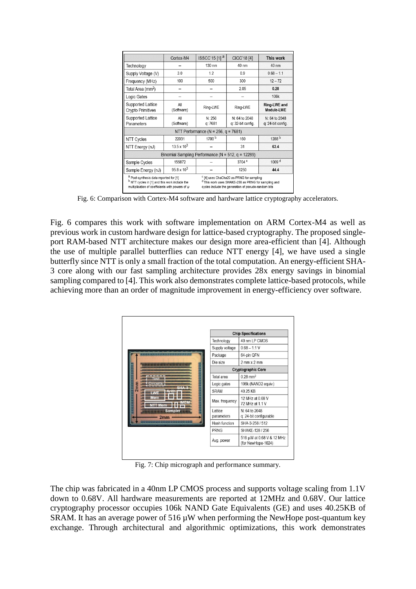|                                                                                                                                                                       | Cortex-M4                                                 | $ISSCC'15[1]$ <sup>a</sup>                 | CICC'18 [4]                                                                                                                                                                  | This work                          |
|-----------------------------------------------------------------------------------------------------------------------------------------------------------------------|-----------------------------------------------------------|--------------------------------------------|------------------------------------------------------------------------------------------------------------------------------------------------------------------------------|------------------------------------|
| Technology                                                                                                                                                            |                                                           | 130 nm                                     | 40 nm                                                                                                                                                                        | 40 nm                              |
| Supply Voltage (V)                                                                                                                                                    | 3.0                                                       | 12                                         | 0.9                                                                                                                                                                          | $068 - 11$                         |
| Frequency (MHz)                                                                                                                                                       | 100                                                       | 500                                        | 300                                                                                                                                                                          | $12 - 72$                          |
| Total Area (mm <sup>2</sup> )                                                                                                                                         |                                                           |                                            | 2.05                                                                                                                                                                         | 0.28                               |
| Logic Gates                                                                                                                                                           |                                                           |                                            |                                                                                                                                                                              | 106k                               |
| <b>Supported Lattice</b><br><b>Crypto Primitives</b>                                                                                                                  | All<br>(Software)                                         | Ring-LWE                                   | Ring-LWE                                                                                                                                                                     | Ring-LWE and<br>Module-LWE         |
| <b>Supported Lattice</b><br>Parameters                                                                                                                                | All<br>(Software)                                         | N: 256<br>q: 7681                          | N: 64 to 2048<br>q: 32-bit config.                                                                                                                                           | N: 64 to 2048<br>q: 24-bit config. |
|                                                                                                                                                                       |                                                           | NTT Performance ( $N = 256$ , $q = 7681$ ) |                                                                                                                                                                              |                                    |
| NTT Cycles                                                                                                                                                            | 22031                                                     | 1700 <sup>b</sup>                          | 160                                                                                                                                                                          | 1288 b                             |
| NTT Energy (nJ)                                                                                                                                                       | $13.5 \times 10^{3}$                                      |                                            | 31                                                                                                                                                                           | 63.4                               |
|                                                                                                                                                                       | Binomial Sampling Performance ( $N = 512$ , $q = 12289$ ) |                                            |                                                                                                                                                                              |                                    |
| Sample Cycles                                                                                                                                                         | 155872                                                    |                                            | 3704 <sup>c</sup>                                                                                                                                                            | 1009 <sup>d</sup>                  |
| Sample Energy (nJ)                                                                                                                                                    | $95.8 \times 10^{3}$                                      |                                            | 1250                                                                                                                                                                         | 44.4                               |
| <sup>a</sup> Post-synthesis data reported for [1]<br><sup>b</sup> NTT cycles in [1] and this work include the<br>multiplication of coefficients with powers of $\psi$ |                                                           |                                            | <sup>c</sup> [4] uses ChaCha20 as PRNG for sampling<br><sup>d</sup> This work uses SHAKE-256 as PRNG for sampling and<br>cycles include the generation of pseudo-random bits |                                    |

Fig. 6: Comparison with Cortex-M4 software and hardware lattice cryptography accelerators.

Fig. 6 compares this work with software implementation on ARM Cortex-M4 as well as previous work in custom hardware design for lattice-based cryptography. The proposed singleport RAM-based NTT architecture makes our design more area-efficient than [4]. Although the use of multiple parallel butterflies can reduce NTT energy [4], we have used a single butterfly since NTT is only a small fraction of the total computation. An energy-efficient SHA-3 core along with our fast sampling architecture provides 28x energy savings in binomial sampling compared to [4]. This work also demonstrates complete lattice-based protocols, while achieving more than an order of magnitude improvement in energy-efficiency over software.



Fig. 7: Chip micrograph and performance summary.

The chip was fabricated in a 40nm LP CMOS process and supports voltage scaling from 1.1V down to 0.68V. All hardware measurements are reported at 12MHz and 0.68V. Our lattice cryptography processor occupies 106k NAND Gate Equivalents (GE) and uses 40.25KB of SRAM. It has an average power of  $516 \mu W$  when performing the NewHope post-quantum key exchange. Through architectural and algorithmic optimizations, this work demonstrates